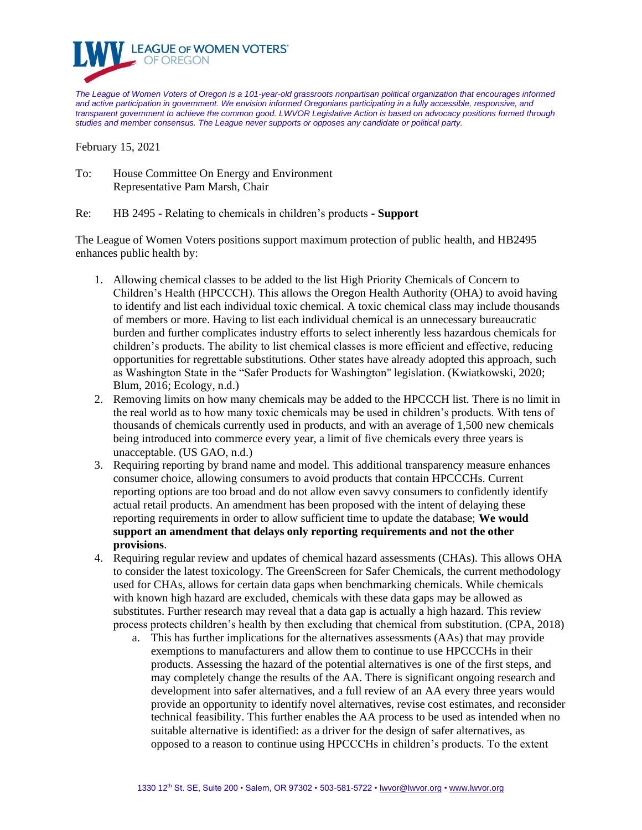

*The League of Women Voters of Oregon is a 101-year-old grassroots nonpartisan political organization that encourages informed and active participation in government. We envision informed Oregonians participating in a fully accessible, responsive, and transparent government to achieve the common good. LWVOR Legislative Action is based on advocacy positions formed through studies and member consensus. The League never supports or opposes any candidate or political party.*

February 15, 2021

To: House Committee On Energy and Environment Representative Pam Marsh, Chair

Re: HB 2495 - Relating to chemicals in children's products **- Support**

The League of Women Voters positions support maximum protection of public health, and HB2495 enhances public health by:

- 1. Allowing chemical classes to be added to the list High Priority Chemicals of Concern to Children's Health (HPCCCH). This allows the Oregon Health Authority (OHA) to avoid having to identify and list each individual toxic chemical. A toxic chemical class may include thousands of members or more. Having to list each individual chemical is an unnecessary bureaucratic burden and further complicates industry efforts to select inherently less hazardous chemicals for children's products. The ability to list chemical classes is more efficient and effective, reducing opportunities for regrettable substitutions. Other states have already adopted this approach, such as Washington State in the "Safer Products for Washington'' legislation. (Kwiatkowski, 2020; Blum, 2016; Ecology, n.d.)
- 2. Removing limits on how many chemicals may be added to the HPCCCH list. There is no limit in the real world as to how many toxic chemicals may be used in children's products. With tens of thousands of chemicals currently used in products, and with an average of 1,500 new chemicals being introduced into commerce every year, a limit of five chemicals every three years is unacceptable. (US GAO, n.d.)
- 3. Requiring reporting by brand name and model. This additional transparency measure enhances consumer choice, allowing consumers to avoid products that contain HPCCCHs. Current reporting options are too broad and do not allow even savvy consumers to confidently identify actual retail products. An amendment has been proposed with the intent of delaying these reporting requirements in order to allow sufficient time to update the database; **We would support an amendment that delays only reporting requirements and not the other provisions**.
- 4. Requiring regular review and updates of chemical hazard assessments (CHAs). This allows OHA to consider the latest toxicology. The GreenScreen for Safer Chemicals, the current methodology used for CHAs, allows for certain data gaps when benchmarking chemicals. While chemicals with known high hazard are excluded, chemicals with these data gaps may be allowed as substitutes. Further research may reveal that a data gap is actually a high hazard. This review process protects children's health by then excluding that chemical from substitution. (CPA, 2018)
	- a. This has further implications for the alternatives assessments (AAs) that may provide exemptions to manufacturers and allow them to continue to use HPCCCHs in their products. Assessing the hazard of the potential alternatives is one of the first steps, and may completely change the results of the AA. There is significant ongoing research and development into safer alternatives, and a full review of an AA every three years would provide an opportunity to identify novel alternatives, revise cost estimates, and reconsider technical feasibility. This further enables the AA process to be used as intended when no suitable alternative is identified: as a driver for the design of safer alternatives, as opposed to a reason to continue using HPCCCHs in children's products. To the extent